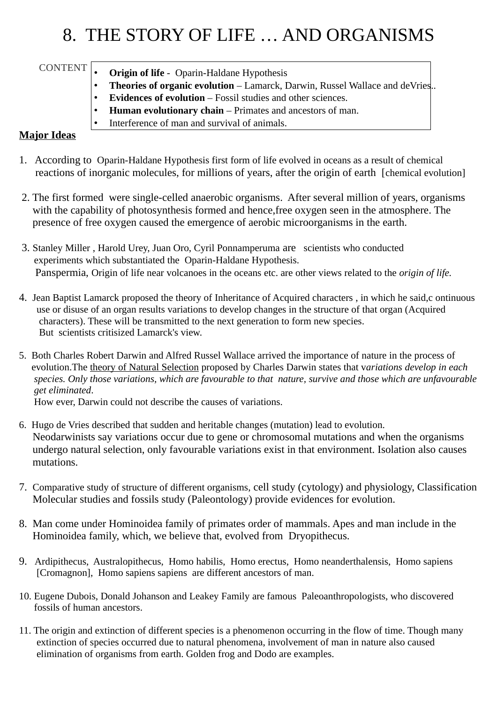## 8. THE STORY OF LIFE … AND ORGANISMS

CONTENT

- **Origin of life**  Oparin-Haldane Hypothesis
- **Theories of organic evolution** Lamarck, Darwin, Russel Wallace and deVries..
- **Evidences of evolution** Fossil studies and other sciences.
- **Human evolutionary chain** Primates and ancestors of man.
- Interference of man and survival of animals.

## **Major Ideas**

- 1. According to Oparin-Haldane Hypothesis first form of life evolved in oceans as a result of chemical reactions of inorganic molecules, for millions of years, after the origin of earth [chemical evolution]
- 2. The first formed were single-celled anaerobic organisms. After several million of years, organisms with the capability of photosynthesis formed and hence,free oxygen seen in the atmosphere. The presence of free oxygen caused the emergence of aerobic microorganisms in the earth.
- 3. Stanley Miller , Harold Urey, Juan Oro, Cyril Ponnamperuma are scientists who conducted experiments which substantiated the Oparin-Haldane Hypothesis. Panspermia, Origin of life near volcanoes in the oceans etc. are other views related to the *origin of life.*
- 4. Jean Baptist Lamarck proposed the theory of Inheritance of Acquired characters , in which he said,c ontinuous use or disuse of an organ results variations to develop changes in the structure of that organ (Acquired characters). These will be transmitted to the next generation to form new species. But scientists critisized Lamarck's view.
- 5. Both Charles Robert Darwin and Alfred Russel Wallace arrived the importance of nature in the process of evolution.The theory of Natural Selection proposed by Charles Darwin states that v*ariations develop in each species. Only those variations, which are favourable to that nature, survive and those which are unfavourable get eliminated*.

How ever, Darwin could not describe the causes of variations.

- 6. Hugo de Vries described that sudden and heritable changes (mutation) lead to evolution. Neodarwinists say variations occur due to gene or chromosomal mutations and when the organisms undergo natural selection, only favourable variations exist in that environment. Isolation also causes mutations.
- 7. Comparative study of structure of different organisms, cell study (cytology) and physiology, Classification Molecular studies and fossils study (Paleontology) provide evidences for evolution.
- 8. Man come under Hominoidea family of primates order of mammals. Apes and man include in the Hominoidea family, which, we believe that, evolved from Dryopithecus.
- 9. Ardipithecus, Australopithecus, Homo habilis, Homo erectus, Homo neanderthalensis, Homo sapiens [Cromagnon], Homo sapiens sapiens are different ancestors of man.
- 10. Eugene Dubois, Donald Johanson and Leakey Family are famous Paleoanthropologists, who discovered fossils of human ancestors.
- 11. The origin and extinction of different species is a phenomenon occurring in the flow of time. Though many extinction of species occurred due to natural phenomena, involvement of man in nature also caused elimination of organisms from earth. Golden frog and Dodo are examples.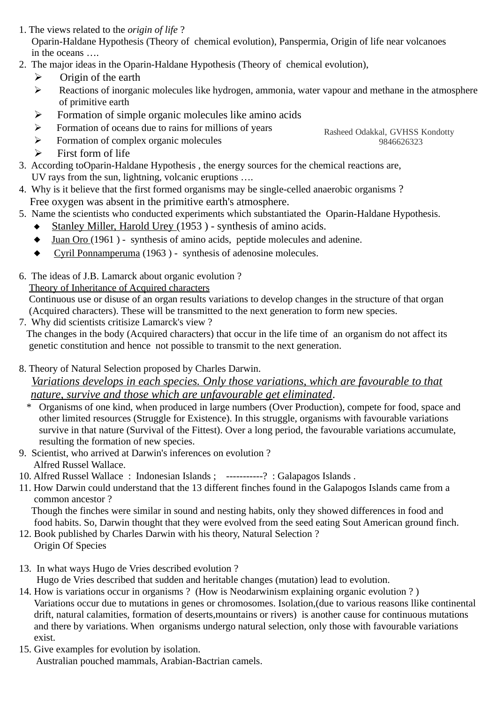- 1. The views related to the *origin of life* ? Oparin-Haldane Hypothesis (Theory of chemical evolution), Panspermia, Origin of life near volcanoes in the oceans ….
- 2. The major ideas in the Oparin-Haldane Hypothesis (Theory of chemical evolution),
	- $\triangleright$  Origin of the earth
	- ➢ Reactions of inorganic molecules like hydrogen, ammonia, water vapour and methane in the atmosphere of primitive earth
	- ➢ Formation of simple organic molecules like amino acids
	- ➢ Formation of oceans due to rains for millions of years
	- ➢ Formation of complex organic molecules
	- $\triangleright$  First form of life
- 3. According toOparin-Haldane Hypothesis , the energy sources for the chemical reactions are, UV rays from the sun, lightning, volcanic eruptions ….
- 4. Why is it believe that the first formed organisms may be single-celled anaerobic organisms ? Free oxygen was absent in the primitive earth's atmosphere.
- 5. Name the scientists who conducted experiments which substantiated the Oparin-Haldane Hypothesis.
	- Stanley Miller, Harold Urey (1953 ) synthesis of amino acids.
	- $\blacklozenge$  Juan Oro (1961) synthesis of amino acids, peptide molecules and adenine.
	- Cyril Ponnamperuma (1963 ) synthesis of adenosine molecules.
- 6. The ideas of J.B. Lamarck about organic evolution ?

Theory of Inheritance of Acquired characters

 Continuous use or disuse of an organ results variations to develop changes in the structure of that organ (Acquired characters). These will be transmitted to the next generation to form new species.

7. Why did scientists critisize Lamarck's view ?

 The changes in the body (Acquired characters) that occur in the life time of an organism do not affect its genetic constitution and hence not possible to transmit to the next generation.

8. Theory of Natural Selection proposed by Charles Darwin.

## *Variations develops in each species. Only those variations, which are favourable to that nature, survive and those which are unfavourable get eliminated*.

- \* Organisms of one kind, when produced in large numbers (Over Production), compete for food, space and other limited resources (Struggle for Existence). In this struggle, organisms with favourable variations survive in that nature (Survival of the Fittest). Over a long period, the favourable variations accumulate, resulting the formation of new species.
- 9. Scientist, who arrived at Darwin's inferences on evolution ? Alfred Russel Wallace.
- 10. Alfred Russel Wallace : Indonesian Islands ; -----------? : Galapagos Islands .
- 11. How Darwin could understand that the 13 different finches found in the Galapogos Islands came from a common ancestor ?

 Though the finches were similar in sound and nesting habits, only they showed differences in food and food habits. So, Darwin thought that they were evolved from the seed eating Sout American ground finch.

- 12. Book published by Charles Darwin with his theory, Natural Selection ? Origin Of Species
- 13. In what ways Hugo de Vries described evolution ? Hugo de Vries described that sudden and heritable changes (mutation) lead to evolution.
- 14. How is variations occur in organisms ? (How is Neodarwinism explaining organic evolution ? ) Variations occur due to mutations in genes or chromosomes. Isolation,(due to various reasons llike continental drift, natural calamities, formation of deserts,mountains or rivers) is another cause for continuous mutations and there by variations. When organisms undergo natural selection, only those with favourable variations exist.
- 15. Give examples for evolution by isolation. Australian pouched mammals, Arabian-Bactrian camels.

Rasheed Odakkal, GVHSS Kondotty 9846626323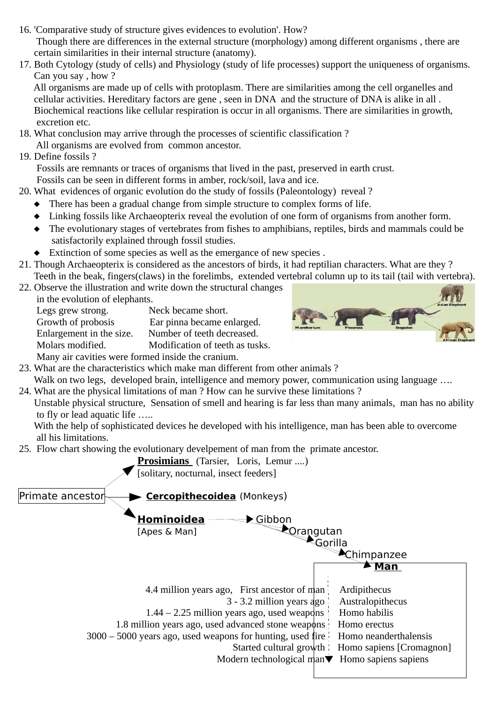- 16. 'Comparative study of structure gives evidences to evolution'. How? Though there are differences in the external structure (morphology) among different organisms , there are certain similarities in their internal structure (anatomy).
- 17. Both Cytology (study of cells) and Physiology (study of life processes) support the uniqueness of organisms. Can you say , how ?

 All organisms are made up of cells with protoplasm. There are similarities among the cell organelles and cellular activities. Hereditary factors are gene , seen in DNA and the structure of DNA is alike in all . Biochemical reactions like cellular respiration is occur in all organisms. There are similarities in growth, excretion etc.

- 18. What conclusion may arrive through the processes of scientific classification ?
	- All organisms are evolved from common ancestor.
- 19. Define fossils ?

 Fossils are remnants or traces of organisms that lived in the past, preserved in earth crust. Fossils can be seen in different forms in amber, rock/soil, lava and ice.

- 20. What evidences of organic evolution do the study of fossils (Paleontology) reveal ?
	- There has been a gradual change from simple structure to complex forms of life.
	- Linking fossils like Archaeopterix reveal the evolution of one form of organisms from another form.
	- The evolutionary stages of vertebrates from fishes to amphibians, reptiles, birds and mammals could be satisfactorily explained through fossil studies.
	- $\triangle$  Extinction of some species as well as the emergance of new species.
- 21. Though Archaeopterix is considered as the ancestors of birds, it had reptilian characters. What are they ? Teeth in the beak, fingers(claws) in the forelimbs, extended vertebral column up to its tail (tail with vertebra).
- 22. Observe the illustration and write down the structural changes

in the evolution of elephants.

Legs grew strong. Neck became short. Growth of probosis Ear pinna became enlarged. Enlargement in the size. Number of teeth decreased. Molars modified. Modification of teeth as tusks. Many air cavities were formed inside the cranium.



23. What are the characteristics which make man different from other animals ? Walk on two legs, developed brain, intelligence and memory power, communication using language ....

- 24. What are the physical limitations of man ? How can he survive these limitations ?
	- Unstable physical structure, Sensation of smell and hearing is far less than many animals, man has no ability to fly or lead aquatic life …..

 With the help of sophisticated devices he developed with his intelligence, man has been able to overcome all his limitations.

25. Flow chart showing the evolutionary develpement of man from the primate ancestor.